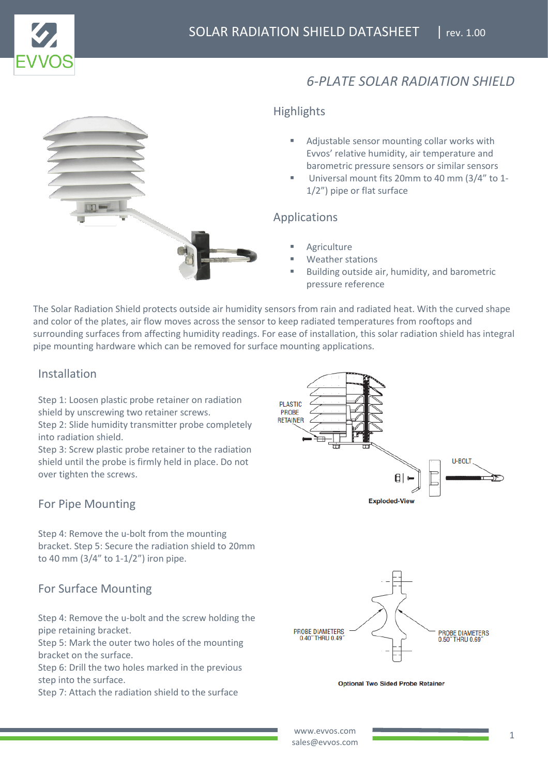

# *6-PLATE SOLAR RADIATION SHIELD*



### **Highlights**

- Adjustable sensor mounting collar works with Evvos' relative humidity, air temperature and barometric pressure sensors or similar sensors
- Universal mount fits 20mm to 40 mm (3/4" to 1-1/2") pipe or flat surface

#### Applications

- **Agriculture**
- Weather stations
- Building outside air, humidity, and barometric pressure reference

The Solar Radiation Shield protects outside air humidity sensors from rain and radiated heat. With the curved shape and color of the plates, air flow moves across the sensor to keep radiated temperatures from rooftops and surrounding surfaces from affecting humidity readings. For ease of installation, this solar radiation shield has integral pipe mounting hardware which can be removed for surface mounting applications.

# Installation

Step 1: Loosen plastic probe retainer on radiation shield by unscrewing two retainer screws.

Step 2: Slide humidity transmitter probe completely into radiation shield.

Step 3: Screw plastic probe retainer to the radiation shield until the probe is firmly held in place. Do not over tighten the screws.

# For Pipe Mounting

Step 4: Remove the u-bolt from the mounting bracket. Step 5: Secure the radiation shield to 20mm to 40 mm (3/4" to 1-1/2") iron pipe.

# For Surface Mounting

Step 4: Remove the u-bolt and the screw holding the pipe retaining bracket.

Step 5: Mark the outer two holes of the mounting bracket on the surface.

Step 6: Drill the two holes marked in the previous step into the surface.

Step 7: Attach the radiation shield to the surface